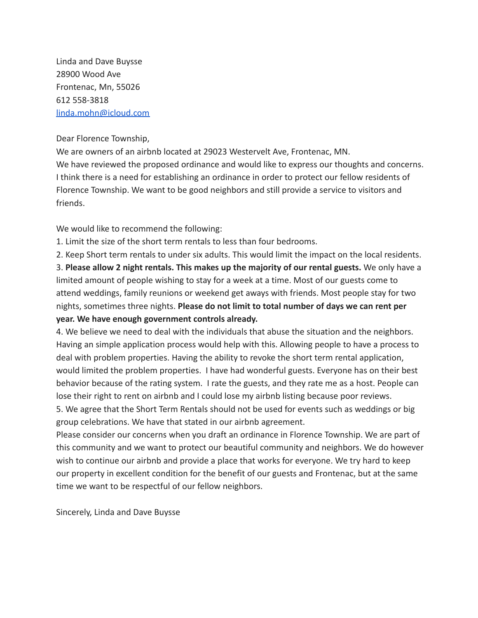Linda and Dave Buysse 28900 Wood Ave Frontenac, Mn, 55026 612 558-3818 linda.mohn@icloud.com

Dear Florence Township,

We are owners of an airbnb located at 29023 Westervelt Ave, Frontenac, MN. We have reviewed the proposed ordinance and would like to express our thoughts and concerns. I think there is a need for establishing an ordinance in order to protect our fellow residents of Florence Township. We want to be good neighbors and still provide a service to visitors and friends.

We would like to recommend the following:

1. Limit the size of the short term rentals to less than four bedrooms.

2. Keep Short term rentals to under six adults. This would limit the impact on the local residents. 3. **Please allow 2 night rentals. This makes up the majority of our rental guests.** We only have a limited amount of people wishing to stay for a week at a time. Most of our guests come to attend weddings, family reunions or weekend get aways with friends. Most people stay for two nights, sometimes three nights. **Please do not limit to total number of days we can rent per**

**year. We have enough government controls already.**

4. We believe we need to deal with the individuals that abuse the situation and the neighbors. Having an simple application process would help with this. Allowing people to have a process to deal with problem properties. Having the ability to revoke the short term rental application, would limited the problem properties. I have had wonderful guests. Everyone has on their best behavior because of the rating system. I rate the guests, and they rate me as a host. People can lose their right to rent on airbnb and I could lose my airbnb listing because poor reviews.

5. We agree that the Short Term Rentals should not be used for events such as weddings or big group celebrations. We have that stated in our airbnb agreement.

Please consider our concerns when you draft an ordinance in Florence Township. We are part of this community and we want to protect our beautiful community and neighbors. We do however wish to continue our airbnb and provide a place that works for everyone. We try hard to keep our property in excellent condition for the benefit of our guests and Frontenac, but at the same time we want to be respectful of our fellow neighbors.

Sincerely, Linda and Dave Buysse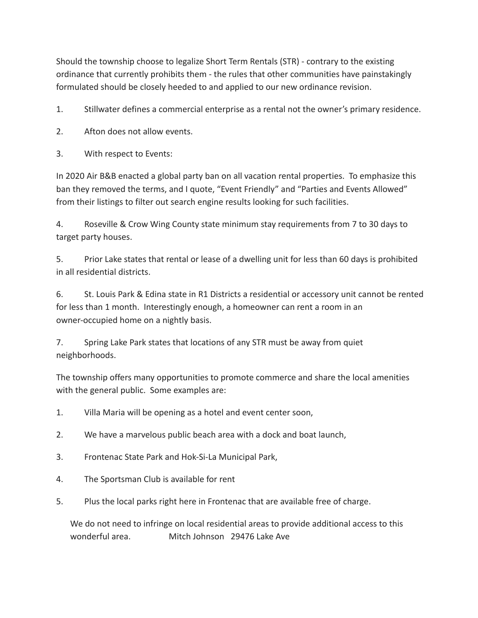Should the township choose to legalize Short Term Rentals (STR) - contrary to the existing ordinance that currently prohibits them - the rules that other communities have painstakingly formulated should be closely heeded to and applied to our new ordinance revision.

1. Stillwater defines a commercial enterprise as a rental not the owner's primary residence.

2. Afton does not allow events.

3. With respect to Events:

In 2020 Air B&B enacted a global party ban on all vacation rental properties. To emphasize this ban they removed the terms, and I quote, "Event Friendly" and "Parties and Events Allowed" from their listings to filter out search engine results looking for such facilities.

4. Roseville & Crow Wing County state minimum stay requirements from 7 to 30 days to target party houses.

5. Prior Lake states that rental or lease of a dwelling unit for less than 60 days is prohibited in all residential districts.

6. St. Louis Park & Edina state in R1 Districts a residential or accessory unit cannot be rented for less than 1 month. Interestingly enough, a homeowner can rent a room in an owner-occupied home on a nightly basis.

7. Spring Lake Park states that locations of any STR must be away from quiet neighborhoods.

The township offers many opportunities to promote commerce and share the local amenities with the general public. Some examples are:

1. Villa Maria will be opening as a hotel and event center soon,

2. We have a marvelous public beach area with a dock and boat launch,

- 3. Frontenac State Park and Hok-Si-La Municipal Park,
- 4. The Sportsman Club is available for rent
- 5. Plus the local parks right here in Frontenac that are available free of charge.

We do not need to infringe on local residential areas to provide additional access to this wonderful area. Mitch Johnson 29476 Lake Ave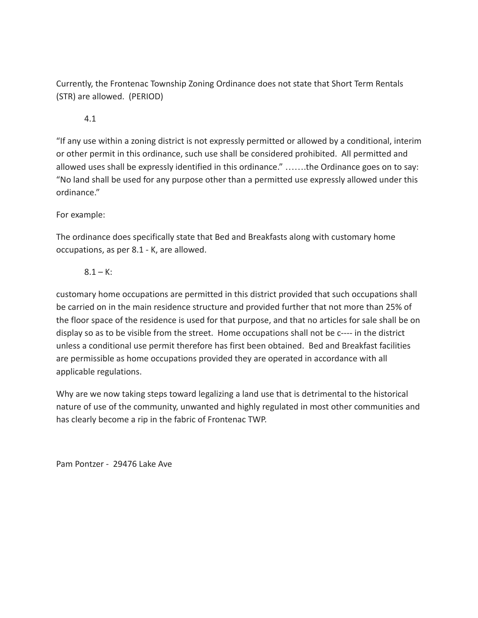Currently, the Frontenac Township Zoning Ordinance does not state that Short Term Rentals (STR) are allowed. (PERIOD)

## 4.1

"If any use within a zoning district is not expressly permitted or allowed by a conditional, interim or other permit in this ordinance, such use shall be considered prohibited. All permitted and allowed uses shall be expressly identified in this ordinance." …….the Ordinance goes on to say: "No land shall be used for any purpose other than a permitted use expressly allowed under this ordinance."

# For example:

The ordinance does specifically state that Bed and Breakfasts along with customary home occupations, as per 8.1 - K, are allowed.

# $8.1 - K$ :

customary home occupations are permitted in this district provided that such occupations shall be carried on in the main residence structure and provided further that not more than 25% of the floor space of the residence is used for that purpose, and that no articles for sale shall be on display so as to be visible from the street. Home occupations shall not be c---- in the district unless a conditional use permit therefore has first been obtained. Bed and Breakfast facilities are permissible as home occupations provided they are operated in accordance with all applicable regulations.

Why are we now taking steps toward legalizing a land use that is detrimental to the historical nature of use of the community, unwanted and highly regulated in most other communities and has clearly become a rip in the fabric of Frontenac TWP.

Pam Pontzer - 29476 Lake Ave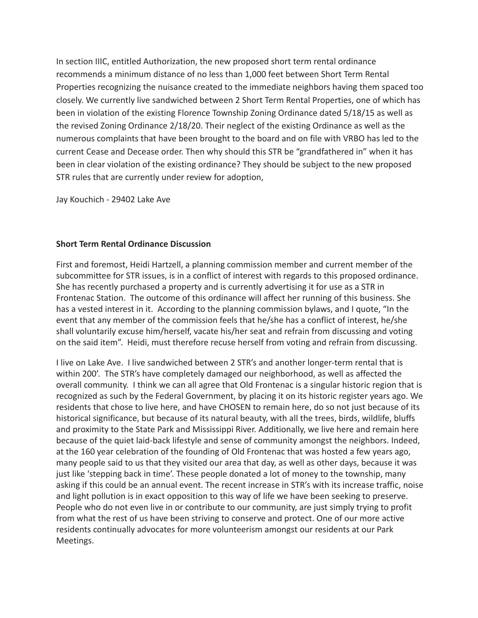In section IIIC, entitled Authorization, the new proposed short term rental ordinance recommends a minimum distance of no less than 1,000 feet between Short Term Rental Properties recognizing the nuisance created to the immediate neighbors having them spaced too closely. We currently live sandwiched between 2 Short Term Rental Properties, one of which has been in violation of the existing Florence Township Zoning Ordinance dated 5/18/15 as well as the revised Zoning Ordinance 2/18/20. Their neglect of the existing Ordinance as well as the numerous complaints that have been brought to the board and on file with VRBO has led to the current Cease and Decease order. Then why should this STR be "grandfathered in" when it has been in clear violation of the existing ordinance? They should be subject to the new proposed STR rules that are currently under review for adoption,

Jay Kouchich - 29402 Lake Ave

## **Short Term Rental Ordinance Discussion**

First and foremost, Heidi Hartzell, a planning commission member and current member of the subcommittee for STR issues, is in a conflict of interest with regards to this proposed ordinance. She has recently purchased a property and is currently advertising it for use as a STR in Frontenac Station. The outcome of this ordinance will affect her running of this business. She has a vested interest in it. According to the planning commission bylaws, and I quote, "In the event that any member of the commission feels that he/she has a conflict of interest, he/she shall voluntarily excuse him/herself, vacate his/her seat and refrain from discussing and voting on the said item". Heidi, must therefore recuse herself from voting and refrain from discussing.

I live on Lake Ave. I live sandwiched between 2 STR's and another longer-term rental that is within 200'. The STR's have completely damaged our neighborhood, as well as affected the overall community. I think we can all agree that Old Frontenac is a singular historic region that is recognized as such by the Federal Government, by placing it on its historic register years ago. We residents that chose to live here, and have CHOSEN to remain here, do so not just because of its historical significance, but because of its natural beauty, with all the trees, birds, wildlife, bluffs and proximity to the State Park and Mississippi River. Additionally, we live here and remain here because of the quiet laid-back lifestyle and sense of community amongst the neighbors. Indeed, at the 160 year celebration of the founding of Old Frontenac that was hosted a few years ago, many people said to us that they visited our area that day, as well as other days, because it was just like 'stepping back in time'. These people donated a lot of money to the township, many asking if this could be an annual event. The recent increase in STR's with its increase traffic, noise and light pollution is in exact opposition to this way of life we have been seeking to preserve. People who do not even live in or contribute to our community, are just simply trying to profit from what the rest of us have been striving to conserve and protect. One of our more active residents continually advocates for more volunteerism amongst our residents at our Park Meetings.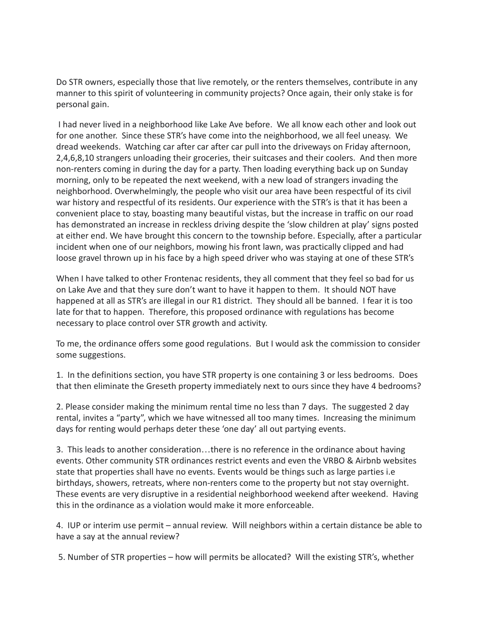Do STR owners, especially those that live remotely, or the renters themselves, contribute in any manner to this spirit of volunteering in community projects? Once again, their only stake is for personal gain.

I had never lived in a neighborhood like Lake Ave before. We all know each other and look out for one another. Since these STR's have come into the neighborhood, we all feel uneasy. We dread weekends. Watching car after car after car pull into the driveways on Friday afternoon, 2,4,6,8,10 strangers unloading their groceries, their suitcases and their coolers. And then more non-renters coming in during the day for a party. Then loading everything back up on Sunday morning, only to be repeated the next weekend, with a new load of strangers invading the neighborhood. Overwhelmingly, the people who visit our area have been respectful of its civil war history and respectful of its residents. Our experience with the STR's is that it has been a convenient place to stay, boasting many beautiful vistas, but the increase in traffic on our road has demonstrated an increase in reckless driving despite the 'slow children at play' signs posted at either end. We have brought this concern to the township before. Especially, after a particular incident when one of our neighbors, mowing his front lawn, was practically clipped and had loose gravel thrown up in his face by a high speed driver who was staying at one of these STR's

When I have talked to other Frontenac residents, they all comment that they feel so bad for us on Lake Ave and that they sure don't want to have it happen to them. It should NOT have happened at all as STR's are illegal in our R1 district. They should all be banned. I fear it is too late for that to happen. Therefore, this proposed ordinance with regulations has become necessary to place control over STR growth and activity.

To me, the ordinance offers some good regulations. But I would ask the commission to consider some suggestions.

1. In the definitions section, you have STR property is one containing 3 or less bedrooms. Does that then eliminate the Greseth property immediately next to ours since they have 4 bedrooms?

2. Please consider making the minimum rental time no less than 7 days. The suggested 2 day rental, invites a "party", which we have witnessed all too many times. Increasing the minimum days for renting would perhaps deter these 'one day' all out partying events.

3. This leads to another consideration…there is no reference in the ordinance about having events. Other community STR ordinances restrict events and even the VRBO & Airbnb websites state that properties shall have no events. Events would be things such as large parties i.e birthdays, showers, retreats, where non-renters come to the property but not stay overnight. These events are very disruptive in a residential neighborhood weekend after weekend. Having this in the ordinance as a violation would make it more enforceable.

4. IUP or interim use permit – annual review. Will neighbors within a certain distance be able to have a say at the annual review?

5. Number of STR properties – how will permits be allocated? Will the existing STR's, whether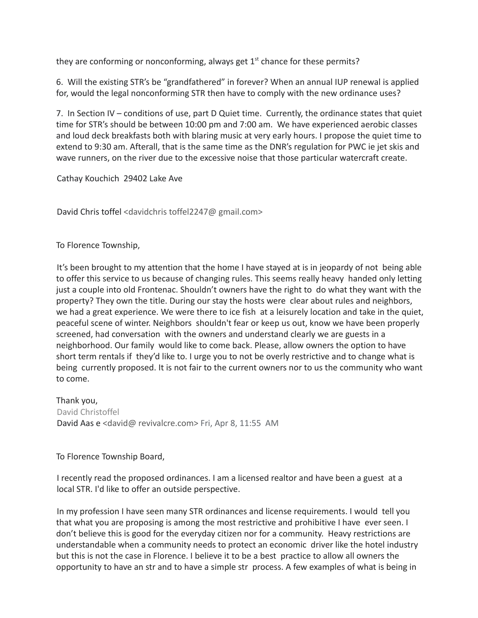they are conforming or nonconforming, always get  $1<sup>st</sup>$  chance for these permits?

6. Will the existing STR's be "grandfathered" in forever? When an annual IUP renewal is applied for, would the legal nonconforming STR then have to comply with the new ordinance uses?

7. In Section IV – conditions of use, part D Quiet time. Currently, the ordinance states that quiet time for STR's should be between 10:00 pm and 7:00 am. We have experienced aerobic classes and loud deck breakfasts both with blaring music at very early hours. I propose the quiet time to extend to 9:30 am. Afterall, that is the same time as the DNR's regulation for PWC ie jet skis and wave runners, on the river due to the excessive noise that those particular watercraft create.

Cathay Kouchich 29402 Lake Ave

David Chris toffel <davidchris toffel2247@ gmail.com>

To Florence Township,

It's been brought to my attention that the home I have stayed at is in jeopardy of not being able to offer this service to us because of changing rules. This seems really heavy handed only letting just a couple into old Frontenac. Shouldn't owners have the right to do what they want with the property? They own the title. During our stay the hosts were clear about rules and neighbors, we had a great experience. We were there to ice fish at a leisurely location and take in the quiet, peaceful scene of winter. Neighbors shouldn't fear or keep us out, know we have been properly screened, had conversation with the owners and understand clearly we are guests in a neighborhood. Our family would like to come back. Please, allow owners the option to have short term rentals if they'd like to. I urge you to not be overly restrictive and to change what is being currently proposed. It is not fair to the current owners nor to us the community who want to come.

Thank you, David Christoffel David Aas e <david@ revivalcre.com> Fri, Apr 8, 11:55 AM

To Florence Township Board,

I recently read the proposed ordinances. I am a licensed realtor and have been a guest at a local STR. I'd like to offer an outside perspective.

In my profession I have seen many STR ordinances and license requirements. I would tell you that what you are proposing is among the most restrictive and prohibitive I have ever seen. I don't believe this is good for the everyday citizen nor for a community. Heavy restrictions are understandable when a community needs to protect an economic driver like the hotel industry but this is not the case in Florence. I believe it to be a best practice to allow all owners the opportunity to have an str and to have a simple str process. A few examples of what is being in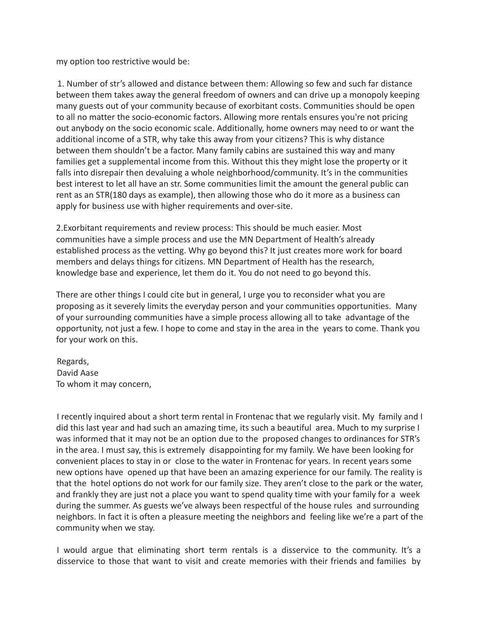my option too restrictive would be:

1. Number of str's allowed and distance between them: Allowing so few and such far distance between them takes away the general freedom of owners and can drive up a monopoly keeping many guests out of your community because of exorbitant costs. Communities should be open to all no matter the socio-economic factors. Allowing more rentals ensures you're not pricing out anybody on the socio economic scale. Additionally, home owners may need to or want the additional income of a STR, why take this away from your citizens? This is why distance between them shouldn't be a factor. Many family cabins are sustained this way and many families get a supplemental income from this. Without this they might lose the property or it falls into disrepair then devaluing a whole neighborhood/community. It's in the communities best interest to let all have an str. Some communities limit the amount the general public can rent as an STR(180 days as example), then allowing those who do it more as a business can apply for business use with higher requirements and over-site.

2.Exorbitant requirements and review process: This should be much easier. Most communities have a simple process and use the MN Department of Health's already established process as the vetting. Why go beyond this? It just creates more work for board members and delays things for citizens. MN Department of Health has the research, knowledge base and experience, let them do it. You do not need to go beyond this.

There are other things I could cite but in general, I urge you to reconsider what you are proposing as it severely limits the everyday person and your communities opportunities. Many of your surrounding communities have a simple process allowing all to take advantage of the opportunity, not just a few. I hope to come and stay in the area in the years to come. Thank you for your work on this.

Regards, David Aase To whom it may concern,

I recently inquired about a short term rental in Frontenac that we regularly visit. My family and I did this last year and had such an amazing time, its such a beautiful area. Much to my surprise I was informed that it may not be an option due to the proposed changes to ordinances for STR's in the area. I must say, this is extremely disappointing for my family. We have been looking for convenient places to stay in or close to the water in Frontenac for years. In recent years some new options have opened up that have been an amazing experience for our family. The reality is that the hotel options do not work for our family size. They aren't close to the park or the water, and frankly they are just not a place you want to spend quality time with your family for a week during the summer. As guests we've always been respectful of the house rules and surrounding neighbors. In fact it is often a pleasure meeting the neighbors and feeling like we're a part of the community when we stay.

I would argue that eliminating short term rentals is a disservice to the community. It's a disservice to those that want to visit and create memories with their friends and families by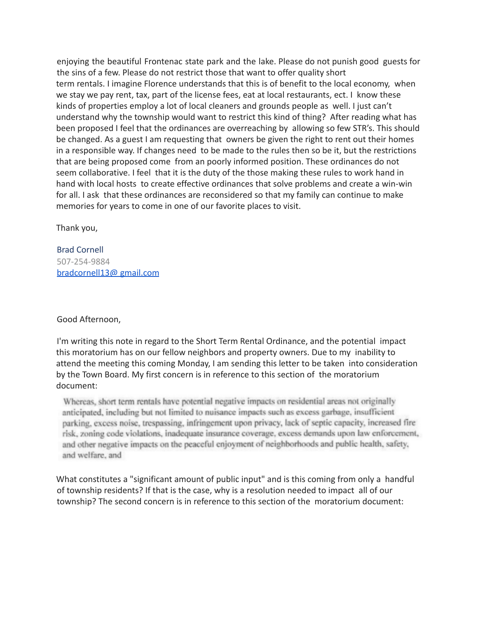enjoying the beautiful Frontenac state park and the lake. Please do not punish good guests for the sins of a few. Please do not restrict those that want to offer quality short term rentals. I imagine Florence understands that this is of benefit to the local economy, when we stay we pay rent, tax, part of the license fees, eat at local restaurants, ect. I know these kinds of properties employ a lot of local cleaners and grounds people as well. I just can't understand why the township would want to restrict this kind of thing? After reading what has been proposed I feel that the ordinances are overreaching by allowing so few STR's. This should be changed. As a guest I am requesting that owners be given the right to rent out their homes in a responsible way. If changes need to be made to the rules then so be it, but the restrictions that are being proposed come from an poorly informed position. These ordinances do not seem collaborative. I feel that it is the duty of the those making these rules to work hand in hand with local hosts to create effective ordinances that solve problems and create a win-win for all. I ask that these ordinances are reconsidered so that my family can continue to make memories for years to come in one of our favorite places to visit.

Thank you,

Brad Cornell 507-254-9884 bradcornell13@ gmail.com

Good Afternoon,

I'm writing this note in regard to the Short Term Rental Ordinance, and the potential impact this moratorium has on our fellow neighbors and property owners. Due to my inability to attend the meeting this coming Monday, I am sending this letter to be taken into consideration by the Town Board. My first concern is in reference to this section of the moratorium document:

Whereas, short term rentals have potential negative impacts on residential areas not originally anticipated, including but not limited to nuisance impacts such as excess garbage, insufficient parking, excess noise, trespassing, infringement upon privacy, lack of septic capacity, increased fire risk, zoning code violations, inadequate insurance coverage, excess demands upon law enforcement, and other negative impacts on the peaceful enjoyment of neighborhoods and public health, safety, and welfare, and

What constitutes a "significant amount of public input" and is this coming from only a handful of township residents? If that is the case, why is a resolution needed to impact all of our township? The second concern is in reference to this section of the moratorium document: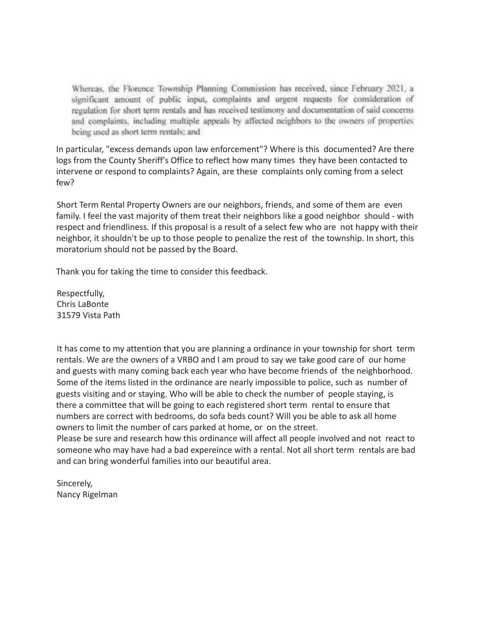Whereas, the Florence Township Planning Commission has received, since February 2021, a significant amount of public input, complaints and urgent requests for consideration of regulation for short term rentals and has received testimony and documentation of said concerns and complaints, including multiple appeals by affected neighbors to the owners of properties being used as short term rentals; and

In particular, "excess demands upon law enforcement"? Where is this documented? Are there logs from the County Sheriff's Office to reflect how many times they have been contacted to intervene or respond to complaints? Again, are these complaints only coming from a select few?

Short Term Rental Property Owners are our neighbors, friends, and some of them are even family. I feel the vast majority of them treat their neighbors like a good neighbor should - with respect and friendliness. If this proposal is a result of a select few who are not happy with their neighbor, it shouldn't be up to those people to penalize the rest of the township. In short, this moratorium should not be passed by the Board.

Thank you for taking the time to consider this feedback.

Respectfully, Chris LaBonte 31579 Vista Path

It has come to my attention that you are planning a ordinance in your township for short term rentals. We are the owners of a VRBO and I am proud to say we take good care of our home and guests with many coming back each year who have become friends of the neighborhood. Some of the items listed in the ordinance are nearly impossible to police, such as number of guests visiting and or staying. Who will be able to check the number of people staying, is there a committee that will be going to each registered short term rental to ensure that numbers are correct with bedrooms, do sofa beds count? Will you be able to ask all home owners to limit the number of cars parked at home, or on the street.

Please be sure and research how this ordinance will affect all people involved and not react to someone who may have had a bad expereince with a rental. Not all short term rentals are bad and can bring wonderful families into our beautiful area.

Sincerely, Nancy Rigelman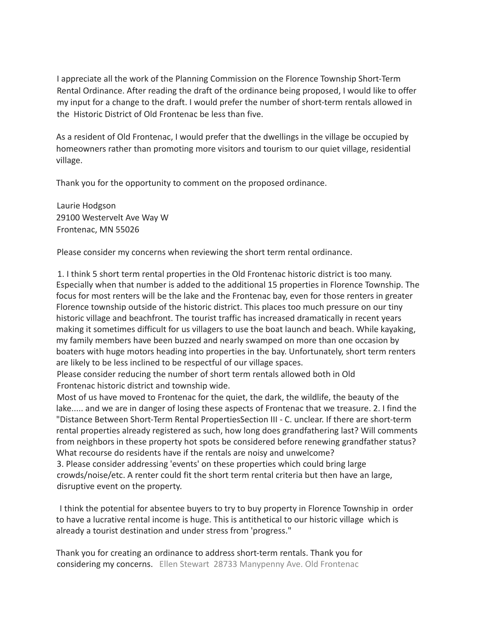I appreciate all the work of the Planning Commission on the Florence Township Short-Term Rental Ordinance. After reading the draft of the ordinance being proposed, I would like to offer my input for a change to the draft. I would prefer the number of short-term rentals allowed in the Historic District of Old Frontenac be less than five.

As a resident of Old Frontenac, I would prefer that the dwellings in the village be occupied by homeowners rather than promoting more visitors and tourism to our quiet village, residential village.

Thank you for the opportunity to comment on the proposed ordinance.

Laurie Hodgson 29100 Westervelt Ave Way W Frontenac, MN 55026

Please consider my concerns when reviewing the short term rental ordinance.

1. I think 5 short term rental properties in the Old Frontenac historic district is too many. Especially when that number is added to the additional 15 properties in Florence Township. The focus for most renters will be the lake and the Frontenac bay, even for those renters in greater Florence township outside of the historic district. This places too much pressure on our tiny historic village and beachfront. The tourist traffic has increased dramatically in recent years making it sometimes difficult for us villagers to use the boat launch and beach. While kayaking, my family members have been buzzed and nearly swamped on more than one occasion by boaters with huge motors heading into properties in the bay. Unfortunately, short term renters are likely to be less inclined to be respectful of our village spaces.

Please consider reducing the number of short term rentals allowed both in Old Frontenac historic district and township wide.

Most of us have moved to Frontenac for the quiet, the dark, the wildlife, the beauty of the lake..... and we are in danger of losing these aspects of Frontenac that we treasure. 2. I find the "Distance Between Short-Term Rental PropertiesSection III - C. unclear. If there are short-term rental properties already registered as such, how long does grandfathering last? Will comments from neighbors in these property hot spots be considered before renewing grandfather status? What recourse do residents have if the rentals are noisy and unwelcome?

3. Please consider addressing 'events' on these properties which could bring large crowds/noise/etc. A renter could fit the short term rental criteria but then have an large, disruptive event on the property.

I think the potential for absentee buyers to try to buy property in Florence Township in order to have a lucrative rental income is huge. This is antithetical to our historic village which is already a tourist destination and under stress from 'progress."

Thank you for creating an ordinance to address short-term rentals. Thank you for considering my concerns. Ellen Stewart 28733 Manypenny Ave. Old Frontenac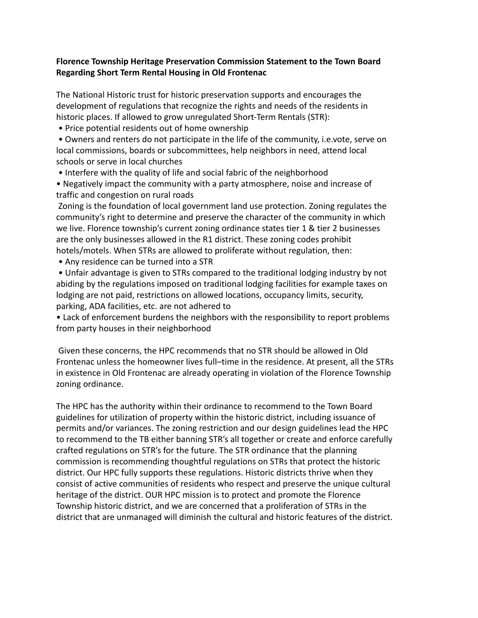## **Florence Township Heritage Preservation Commission Statement to the Town Board Regarding Short Term Rental Housing in Old Frontenac**

The National Historic trust for historic preservation supports and encourages the development of regulations that recognize the rights and needs of the residents in historic places. If allowed to grow unregulated Short-Term Rentals (STR):

• Price potential residents out of home ownership

• Owners and renters do not participate in the life of the community, i.e.vote, serve on local commissions, boards or subcommittees, help neighbors in need, attend local schools or serve in local churches

• Interfere with the quality of life and social fabric of the neighborhood

• Negatively impact the community with a party atmosphere, noise and increase of traffic and congestion on rural roads

Zoning is the foundation of local government land use protection. Zoning regulates the community's right to determine and preserve the character of the community in which we live. Florence township's current zoning ordinance states tier 1 & tier 2 businesses are the only businesses allowed in the R1 district. These zoning codes prohibit hotels/motels. When STRs are allowed to proliferate without regulation, then:

• Any residence can be turned into a STR

• Unfair advantage is given to STRs compared to the traditional lodging industry by not abiding by the regulations imposed on traditional lodging facilities for example taxes on lodging are not paid, restrictions on allowed locations, occupancy limits, security, parking, ADA facilities, etc. are not adhered to

• Lack of enforcement burdens the neighbors with the responsibility to report problems from party houses in their neighborhood

Given these concerns, the HPC recommends that no STR should be allowed in Old Frontenac unless the homeowner lives full–time in the residence. At present, all the STRs in existence in Old Frontenac are already operating in violation of the Florence Township zoning ordinance.

The HPC has the authority within their ordinance to recommend to the Town Board guidelines for utilization of property within the historic district, including issuance of permits and/or variances. The zoning restriction and our design guidelines lead the HPC to recommend to the TB either banning STR's all together or create and enforce carefully crafted regulations on STR's for the future. The STR ordinance that the planning commission is recommending thoughtful regulations on STRs that protect the historic district. Our HPC fully supports these regulations. Historic districts thrive when they consist of active communities of residents who respect and preserve the unique cultural heritage of the district. OUR HPC mission is to protect and promote the Florence Township historic district, and we are concerned that a proliferation of STRs in the district that are unmanaged will diminish the cultural and historic features of the district.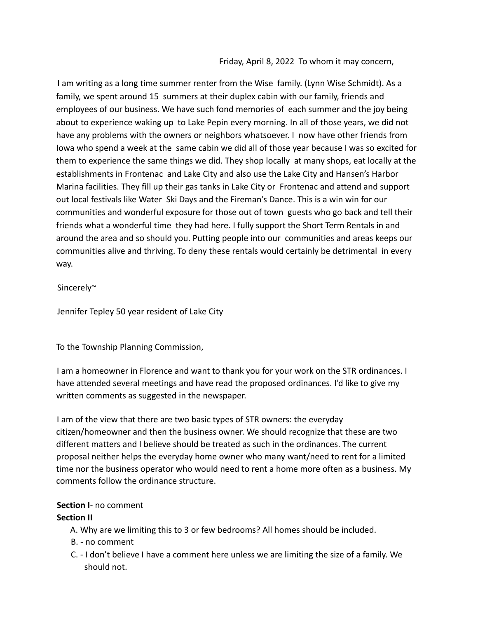Friday, April 8, 2022 To whom it may concern,

I am writing as a long time summer renter from the Wise family. (Lynn Wise Schmidt). As a family, we spent around 15 summers at their duplex cabin with our family, friends and employees of our business. We have such fond memories of each summer and the joy being about to experience waking up to Lake Pepin every morning. In all of those years, we did not have any problems with the owners or neighbors whatsoever. I now have other friends from Iowa who spend a week at the same cabin we did all of those year because I was so excited for them to experience the same things we did. They shop locally at many shops, eat locally at the establishments in Frontenac and Lake City and also use the Lake City and Hansen's Harbor Marina facilities. They fill up their gas tanks in Lake City or Frontenac and attend and support out local festivals like Water Ski Days and the Fireman's Dance. This is a win win for our communities and wonderful exposure for those out of town guests who go back and tell their friends what a wonderful time they had here. I fully support the Short Term Rentals in and around the area and so should you. Putting people into our communities and areas keeps our communities alive and thriving. To deny these rentals would certainly be detrimental in every way.

Sincerely~

Jennifer Tepley 50 year resident of Lake City

To the Township Planning Commission,

I am a homeowner in Florence and want to thank you for your work on the STR ordinances. I have attended several meetings and have read the proposed ordinances. I'd like to give my written comments as suggested in the newspaper.

I am of the view that there are two basic types of STR owners: the everyday citizen/homeowner and then the business owner. We should recognize that these are two different matters and I believe should be treated as such in the ordinances. The current proposal neither helps the everyday home owner who many want/need to rent for a limited time nor the business operator who would need to rent a home more often as a business. My comments follow the ordinance structure.

# **Section I**- no comment

# **Section II**

- A. Why are we limiting this to 3 or few bedrooms? All homes should be included.
- B. no comment
- C. I don't believe I have a comment here unless we are limiting the size of a family. We should not.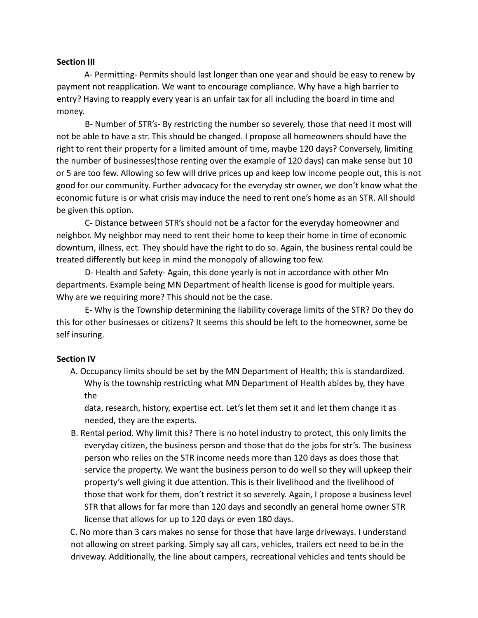#### **Section III**

A- Permitting- Permits should last longer than one year and should be easy to renew by payment not reapplication. We want to encourage compliance. Why have a high barrier to entry? Having to reapply every year is an unfair tax for all including the board in time and money.

B- Number of STR's- By restricting the number so severely, those that need it most will not be able to have a str. This should be changed. I propose all homeowners should have the right to rent their property for a limited amount of time, maybe 120 days? Conversely, limiting the number of businesses(those renting over the example of 120 days) can make sense but 10 or 5 are too few. Allowing so few will drive prices up and keep low income people out, this is not good for our community. Further advocacy for the everyday str owner, we don't know what the economic future is or what crisis may induce the need to rent one's home as an STR. All should be given this option.

C- Distance between STR's should not be a factor for the everyday homeowner and neighbor. My neighbor may need to rent their home to keep their home in time of economic downturn, illness, ect. They should have the right to do so. Again, the business rental could be treated differently but keep in mind the monopoly of allowing too few.

D- Health and Safety- Again, this done yearly is not in accordance with other Mn departments. Example being MN Department of health license is good for multiple years. Why are we requiring more? This should not be the case.

E- Why is the Township determining the liability coverage limits of the STR? Do they do this for other businesses or citizens? It seems this should be left to the homeowner, some be self insuring.

#### **Section IV**

A. Occupancy limits should be set by the MN Department of Health; this is standardized. Why is the township restricting what MN Department of Health abides by, they have the

data, research, history, expertise ect. Let's let them set it and let them change it as needed, they are the experts.

B. Rental period. Why limit this? There is no hotel industry to protect, this only limits the everyday citizen, the business person and those that do the jobs for str's. The business person who relies on the STR income needs more than 120 days as does those that service the property. We want the business person to do well so they will upkeep their property's well giving it due attention. This is their livelihood and the livelihood of those that work for them, don't restrict it so severely. Again, I propose a business level STR that allows for far more than 120 days and secondly an general home owner STR license that allows for up to 120 days or even 180 days.

C. No more than 3 cars makes no sense for those that have large driveways. I understand not allowing on street parking. Simply say all cars, vehicles, trailers ect need to be in the driveway. Additionally, the line about campers, recreational vehicles and tents should be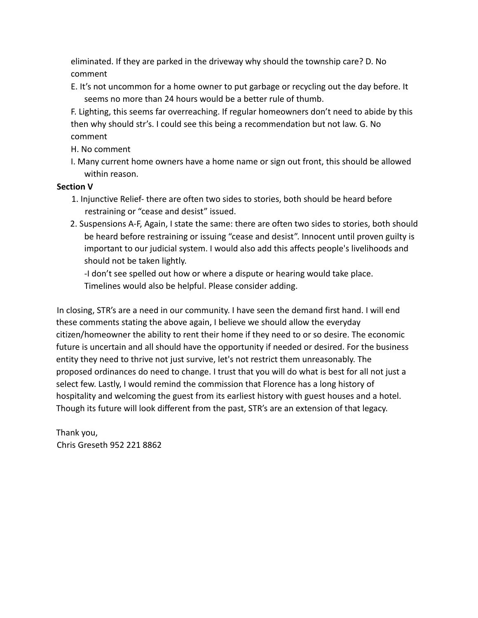eliminated. If they are parked in the driveway why should the township care? D. No comment

E. It's not uncommon for a home owner to put garbage or recycling out the day before. It seems no more than 24 hours would be a better rule of thumb.

F. Lighting, this seems far overreaching. If regular homeowners don't need to abide by this then why should str's. I could see this being a recommendation but not law. G. No comment

H. No comment

I. Many current home owners have a home name or sign out front, this should be allowed within reason.

# **Section V**

- 1. Injunctive Relief- there are often two sides to stories, both should be heard before restraining or "cease and desist" issued.
- 2. Suspensions A-F, Again, I state the same: there are often two sides to stories, both should be heard before restraining or issuing "cease and desist". Innocent until proven guilty is important to our judicial system. I would also add this affects people's livelihoods and should not be taken lightly.

-I don't see spelled out how or where a dispute or hearing would take place. Timelines would also be helpful. Please consider adding.

In closing, STR's are a need in our community. I have seen the demand first hand. I will end these comments stating the above again, I believe we should allow the everyday citizen/homeowner the ability to rent their home if they need to or so desire. The economic future is uncertain and all should have the opportunity if needed or desired. For the business entity they need to thrive not just survive, let's not restrict them unreasonably. The proposed ordinances do need to change. I trust that you will do what is best for all not just a select few. Lastly, I would remind the commission that Florence has a long history of hospitality and welcoming the guest from its earliest history with guest houses and a hotel. Though its future will look different from the past, STR's are an extension of that legacy.

Thank you, Chris Greseth 952 221 8862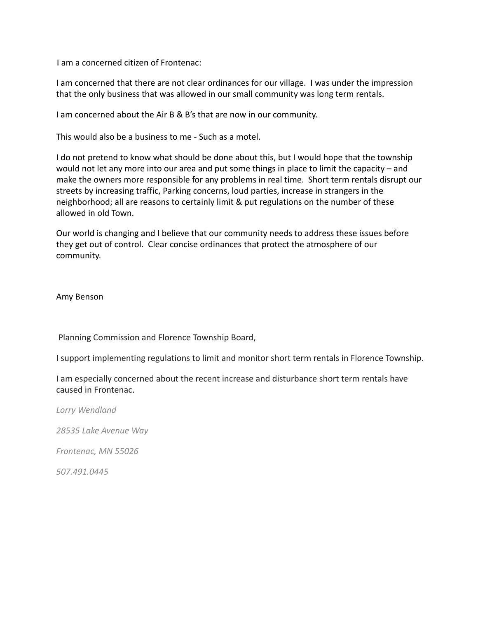I am a concerned citizen of Frontenac:

I am concerned that there are not clear ordinances for our village. I was under the impression that the only business that was allowed in our small community was long term rentals.

I am concerned about the Air B & B's that are now in our community.

This would also be a business to me - Such as a motel.

I do not pretend to know what should be done about this, but I would hope that the township would not let any more into our area and put some things in place to limit the capacity – and make the owners more responsible for any problems in real time. Short term rentals disrupt our streets by increasing traffic, Parking concerns, loud parties, increase in strangers in the neighborhood; all are reasons to certainly limit & put regulations on the number of these allowed in old Town.

Our world is changing and I believe that our community needs to address these issues before they get out of control. Clear concise ordinances that protect the atmosphere of our community.

Amy Benson

Planning Commission and Florence Township Board,

I support implementing regulations to limit and monitor short term rentals in Florence Township.

I am especially concerned about the recent increase and disturbance short term rentals have caused in Frontenac.

*Lorry Wendland*

*28535 Lake Avenue Way*

*Frontenac, MN 55026*

*507.491.0445*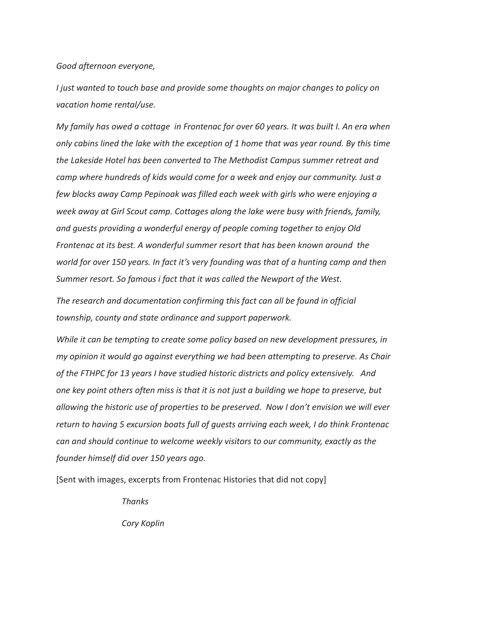*Good afternoon everyone,*

*I just wanted to touch base and provide some thoughts on major changes to policy on vacation home rental/use.*

*My family has owed a cottage in Frontenac for over 60 years. It was built I. An era when only cabins lined the lake with the exception of 1 home that was year round. By this time the Lakeside Hotel has been converted to The Methodist Campus summer retreat and camp where hundreds of kids would come for a week and enjoy our community. Just a few blocks away Camp Pepinoak was filled each week with girls who were enjoying a week away at Girl Scout camp. Cottages along the lake were busy with friends, family, and guests providing a wonderful energy of people coming together to enjoy Old Frontenac at its best. A wonderful summer resort that has been known around the world for over 150 years. In fact it's very founding was that of a hunting camp and then Summer resort. So famous i fact that it was called the Newport of the West.*

*The research and documentation confirming this fact can all be found in official township, county and state ordinance and support paperwork.*

*While it can be tempting to create some policy based on new development pressures, in my opinion it would go against everything we had been attempting to preserve. As Chair of the FTHPC for 13 years I have studied historic districts and policy extensively. And one key point others often miss is that it is not just a building we hope to preserve, but allowing the historic use of properties to be preserved. Now I don't envision we will ever return to having 5 excursion boats full of guests arriving each week, I do think Frontenac can and should continue to welcome weekly visitors to our community, exactly as the founder himself did over 150 years ago.*

[Sent with images, excerpts from Frontenac Histories that did not copy]

*Thanks*

*Cory Koplin*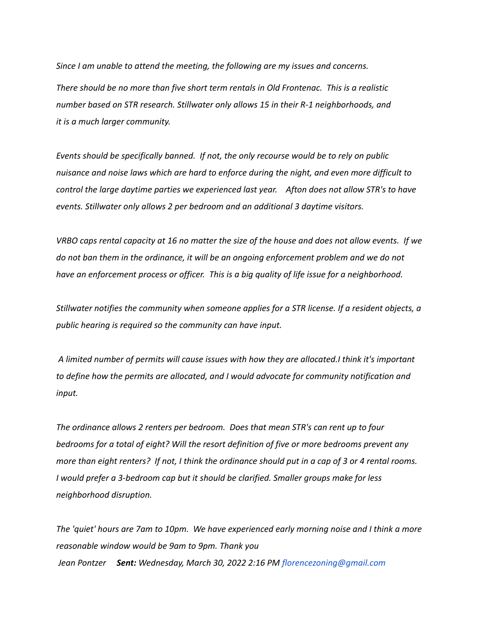*Since I am unable to attend the meeting, the following are my issues and concerns. There should be no more than five short term rentals in Old Frontenac. This is a realistic number based on STR research. Stillwater only allows 15 in their R-1 neighborhoods, and it is a much larger community.*

*Events should be specifically banned. If not, the only recourse would be to rely on public nuisance and noise laws which are hard to enforce during the night, and even more difficult to control the large daytime parties we experienced last year. Afton does not allow STR's to have events. Stillwater only allows 2 per bedroom and an additional 3 daytime visitors.*

*VRBO caps rental capacity at 16 no matter the size of the house and does not allow events. If we do not ban them in the ordinance, it will be an ongoing enforcement problem and we do not have an enforcement process or officer. This is a big quality of life issue for a neighborhood.*

*Stillwater notifies the community when someone applies for a STR license. If a resident objects, a public hearing is required so the community can have input.*

*A limited number of permits will cause issues with how they are allocated.I think it's important to define how the permits are allocated, and I would advocate for community notification and input.*

*The ordinance allows 2 renters per bedroom. Does that mean STR's can rent up to four bedrooms for a total of eight? Will the resort definition of five or more bedrooms prevent any more than eight renters? If not, I think the ordinance should put in a cap of 3 or 4 rental rooms. I would prefer a 3-bedroom cap but it should be clarified. Smaller groups make for less neighborhood disruption.*

*The 'quiet' hours are 7am to 10pm. We have experienced early morning noise and I think a more reasonable window would be 9am to 9pm. Thank you Jean Pontzer Sent: Wednesday, March 30, 2022 2:16 PM florencezoning@gmail.com*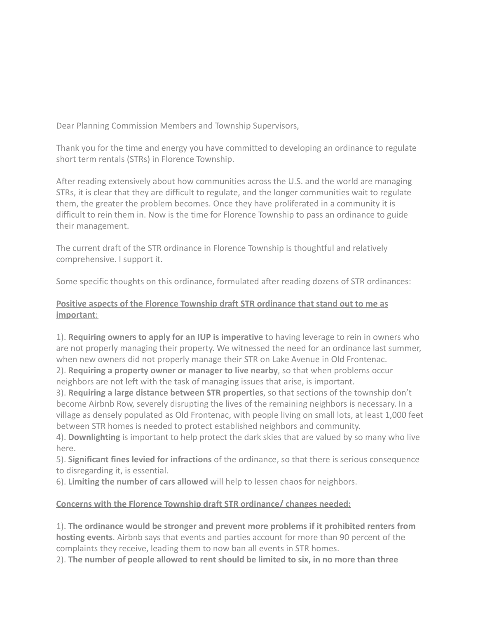Dear Planning Commission Members and Township Supervisors,

Thank you for the time and energy you have committed to developing an ordinance to regulate short term rentals (STRs) in Florence Township.

After reading extensively about how communities across the U.S. and the world are managing STRs, it is clear that they are difficult to regulate, and the longer communities wait to regulate them, the greater the problem becomes. Once they have proliferated in a community it is difficult to rein them in. Now is the time for Florence Township to pass an ordinance to guide their management.

The current draft of the STR ordinance in Florence Township is thoughtful and relatively comprehensive. I support it.

Some specific thoughts on this ordinance, formulated after reading dozens of STR ordinances:

# **Positive aspects of the Florence Township draft STR ordinance that stand out to me as important**:

1). **Requiring owners to apply for an IUP is imperative** to having leverage to rein in owners who are not properly managing their property. We witnessed the need for an ordinance last summer, when new owners did not properly manage their STR on Lake Avenue in Old Frontenac.

2). **Requiring a property owner or manager to live nearby**, so that when problems occur neighbors are not left with the task of managing issues that arise, is important.

3). **Requiring a large distance between STR properties**, so that sections of the township don't become Airbnb Row, severely disrupting the lives of the remaining neighbors is necessary. In a village as densely populated as Old Frontenac, with people living on small lots, at least 1,000 feet between STR homes is needed to protect established neighbors and community.

4). **Downlighting** is important to help protect the dark skies that are valued by so many who live here.

5). **Significant fines levied for infractions** of the ordinance, so that there is serious consequence to disregarding it, is essential.

6). **Limiting the number of cars allowed** will help to lessen chaos for neighbors.

# **Concerns with the Florence Township draft STR ordinance/ changes needed:**

1). **The ordinance would be stronger and prevent more problems if it prohibited renters from hosting events**. Airbnb says that events and parties account for more than 90 percent of the complaints they receive, leading them to now ban all events in STR homes.

2). **The number of people allowed to rent should be limited to six, in no more than three**